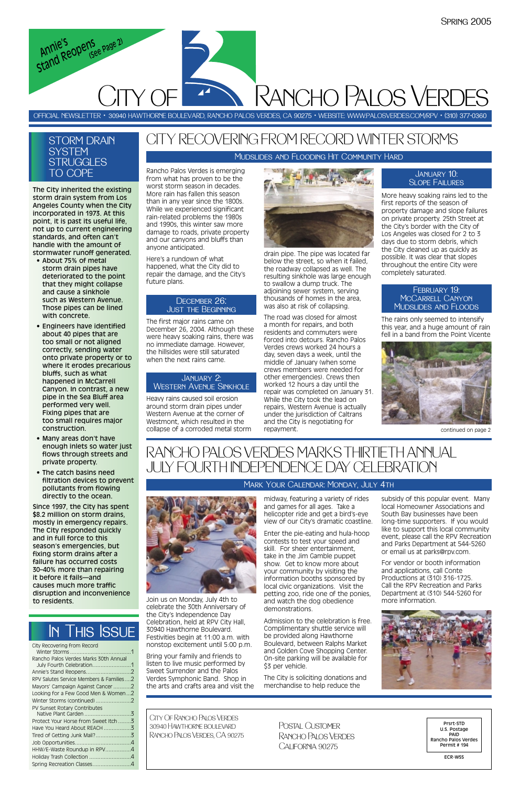The City inherited the existing storm drain system from Los Angeles County when the City incorporated in 1973. At this point, it is past its useful life, not up to current engineering standards, and often can't handle with the amount of stormwater runoff generated.

## **STORM DRAIN SYSTEM** STRUGGLES TO COPE

- About 75% of metal storm drain pipes have deteriorated to the point that they might collapse and cause a sinkhole such as Western Avenue. Those pipes can be lined with concrete.
- Engineers have identified about 40 pipes that are too small or not aligned correctly, sending water onto private property or to where it erodes precarious bluffs, such as what happened in McCarrell Canyon. In contrast, a new pipe in the Sea Bluff area performed very well. Fixing pipes that are too small requires major construction.
- Many areas don't have enough inlets so water just flows through streets and private property.
- The catch basins need filtration devices to prevent pollutants from flowing directly to the ocean.

Admission to the celebration is free. Complimentary shuttle service will be provided along Hawthorne Boulevard, between Ralphs Market and Golden Cove Shopping Center. On-site parking will be available for \$3 per vehicle.

Since 1997, the City has spent \$8.2 million on storm drains, mostly in emergency repairs. The City responded quickly and in full force to this season's emergencies, but fixing storm drains after a failure has occurred costs 30–40% more than repairing it before it fails—and

causes much more traffic disruption and inconvenience to residents.

Join us on Monday, July 4th to celebrate the 30th Anniversary of the City's Independence Day Celebration, held at RPV City Hall, 30940 Hawthorne Boulevard. Festivities begin at 11:00 a.m. with nonstop excitement until 5:00 p.m.

Bring your family and friends to listen to live music performed by Sweet Surrender and the Palos Verdes Symphonic Band. Shop in the arts and crafts area and visit the

midway, featuring a variety of rides and games for all ages. Take a helicopter ride and get a bird's-eye view of our City's dramatic coastline.

Enter the pie-eating and hula-hoop contests to test your speed and skill. For sheer entertainment, take in the Jim Gamble puppet show. Get to know more about your community by visiting the information booths sponsored by local civic organizations. Visit the petting zoo, ride one of the ponies, and watch the dog obedience demonstrations.

The City is soliciting donations and merchandise to help reduce the



subsidy of this popular event. Many local Homeowner Associations and South Bay businesses have been long-time supporters. If you would like to support this local community event, please call the RPV Recreation and Parks Department at 544-5260 or email us at parks@rpv.com.

For vendor or booth information and applications, call Conte Productions at (310) 316-1725. Call the RPV Recreation and Parks Department at (310) 544-5260 for more information.

Rancho Palos Verdes is emerging from what has proven to be the worst storm season in decades. More rain has fallen this season than in any year since the 1800s. While we experienced significant rain-related problems the 1980s and 1990s, this winter saw more damage to roads, private property and our canyons and bluffs than anyone anticipated.

Here's a rundown of what happened, what the City did to repair the damage, and the City's future plans.

The first major rains came on December 26, 2004. Although these were heavy soaking rains, there was no immediate damage. However, the hillsides were still saturated when the next rains came.

Heavy rains caused soil erosion around storm drain pipes under Western Avenue at the corner of Westmont, which resulted in the collapse of a corroded metal storm



drain pipe. The pipe was located far below the street, so when it failed, the roadway collapsed as well. The resulting sinkhole was large enough to swallow a dump truck. The adioining sewer system, serving thousands of homes in the area, was also at risk of collapsing.

The road was closed for almost a month for repairs, and both residents and commuters were forced into detours. Rancho Palos Verdes crews worked 24 hours a day, seven days a week, until the middle of January (when some crews members were needed for other emergencies). Crews then worked 12 hours a day until the repair was completed on January 31. While the City took the lead on repairs, Western Avenue is actually under the jurisdiction of Caltrans and the City is negotiating for repayment.

More heavy soaking rains led to the first reports of the season of property damage and slope failures on private property. 25th Street at the City's border with the City of Los Angeles was closed for 2 to 3 days due to storm debris, which the City cleaned up as quickly as possible. It was clear that slopes throughout the entire City were completely saturated.

The rains only seemed to intensify this year, and a huge amount of rain fell in a band from the Point Vicente



# CITY RECOVERING FROM RECORD WINTER STORMS

OFFICIAL NEWSLETTER • 30940 HAWTHORNE BOULEVARD, RANCHO PALOS VERDES, CA 90275 • WEBSITE: WWW:PALOSVERDES.COM/RPV • (310) 377-0360

City Of Rancho Palos Verdes 30940 Hawthorne boulevard Rancho Palos Verdes, CA 90275

Prsrt-STD U.S. Postage PAID Rancho Palos Verdes Permit # 194

ECR-WSS

Postal Customer Rancho Palos Verdes California 90275

# In This Issue

| City Recovering from Record             |  |
|-----------------------------------------|--|
| Rancho Palos Verdes Marks 30th Annual   |  |
|                                         |  |
| RPV Salutes Service Members & Families2 |  |
| Mayors' Campaign Against Cancer2        |  |
| Looking for a Few Good Men & Women2     |  |
|                                         |  |
| PV Sunset Rotary Contributes            |  |
| Protect Your Horse from Sweet Itch 3    |  |
| Have You Heard About REACH 3            |  |
|                                         |  |
|                                         |  |
| HHW/E-Waste Roundup in RPV4             |  |
| Holiday Trash Collection 4              |  |
| Spring Recreation Classes4              |  |



Rancho Palos Verdes

# RANCHO PALOS VERDES MARKS THIRTIETH ANNUAL JULY FOURTH INDEPENDENCE DAY CELEBRATION

## Mark Your Calendar: Monday, July 4th

## Mudslides and Flooding Hit Community Hard

*Annie's Stand Reopens (See Page 2)*

CITY OF

#### December 26:Just the Beginning

## January 2: Western Avenue Sinkhole

continued on page 2

### January 10: Slope Failures

### February 19: McCarrell Canyon Mudslides and Floods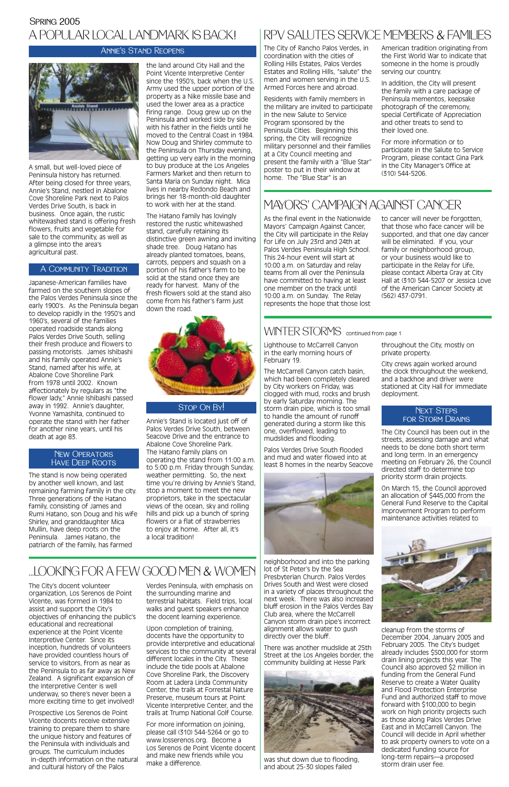The City of Rancho Palos Verdes, in coordination with the cities of Rolling Hills Estates, Palos Verdes Estates and Rolling Hills, "salute" the men and women serving in the U.S. Armed Forces here and abroad.

Residents with family members in the military are invited to participate in the new Salute to Service Program sponsored by the Peninsula Cities. Beginning this spring, the City will recognize military personnel and their families at a City Council meeting and present the family with a "Blue Star" poster to put in their window at home. The "Blue Star" is an

American tradition originating from the First World War to indicate that someone in the home is proudly serving our country.

In addition, the City will present the family with a care package of Peninsula mementos, keepsake photograph of the ceremony, special Certificate of Appreciation and other treats to send to their loved one.

For more information or to participate in the Salute to Service Program, please contact Gina Park in the City Manager's Office at (310) 544-5206.

## RPV SALUTES SERVICE MEMBERS & FAMILIES

As the final event in the Nationwide Mayors' Campaign Against Cancer, the City will participate in the Relay for Life on July 23rd and 24th at Palos Verdes Peninsula High School. This 24-hour event will start at 10:00 a.m. on Saturday and relay teams from all over the Peninsula have committed to having at least one member on the track until 10:00 a.m. on Sunday. The Relay represents the hope that those lost

to cancer will never be forgotten, that those who face cancer will be supported, and that one day cancer will be eliminated. If you, your family or neighborhood group, or your business would like to participate in the Relay for Life, please contact Alberta Gray at City Hall at (310) 544-5207 or Jessica Love of the American Cancer Society at (562) 437-0791.

## WINTER STORMS continued from page 1

## MAYORS' CAMPAIGN AGAINST CANCER

A small, but well-loved piece of Peninsula history has returned. After being closed for three years, Annie's Stand, nestled in Abalone Cove Shoreline Park next to Palos Verdes Drive South, is back in business. Once again, the rustic whitewashed stand is offering fresh flowers, fruits and vegetable for sale to the community, as well as a glimpse into the area's agricultural past.

## Spring 2005 A POPULAR LOCAL LANDMARK IS BACK!

Japanese-American families have farmed on the southern slopes of the Palos Verdes Peninsula since the early 1900's. As the Peninsula began to develop rapidly in the 1950's and 1960's, several of the families operated roadside stands along Palos Verdes Drive South, selling their fresh produce and flowers to passing motorists. James Ishibashi and his family operated Annie's Stand, named after his wife, at Abalone Cove Shoreline Park from 1978 until 2002. Known affectionately by regulars as "the flower lady," Annie Ishibashi passed away in 1992. Annie's daughter, Yvonne Yamashita, continued to operate the stand with her father for another nine years, until his death at age 83.

The stand is now being operated by another well known, and last remaining farming family in the city. Three generations of the Hatano family, consisting of James and Rumi Hatano, son Doug and his wife Shirley, and granddaughter Mica Mullin, have deep roots on the Peninsula. James Hatano, the patriarch of the family, has farmed

the land around City Hall and the Point Vicente Interpretive Center since the 1950's, back when the U.S. Army used the upper portion of the property as a Nike missile base and used the lower area as a practice firing range. Doug grew up on the Peninsula and worked side by side with his father in the fields until he moved to the Central Coast in 1984. Now Doug and Shirley commute to the Peninsula on Thursday evening, getting up very early in the morning to buy produce at the Los Angeles Farmers Market and then return to Santa Maria on Sunday night. Mica lives in nearby Redondo Beach and brings her 18-month-old daughter to work with her at the stand.

#### **NEXT STEPS** for Storm Drains

The Hatano family has lovingly restored the rustic whitewashed stand, carefully retaining its distinctive green awning and inviting shade tree. Doug Hatano has already planted tomatoes, beans, carrots, peppers and squash on a portion of his father's farm to be sold at the stand once they are ready for harvest. Many of the fresh flowers sold at the stand also come from his father's farm just down the road.



## Stop On By!

Annie's Stand is located just off of Palos Verdes Drive South, between Seacove Drive and the entrance to Abalone Cove Shoreline Park. The Hatano family plans on operating the stand from 11:00 a.m. to 5:00 p.m. Friday through Sunday, weather permitting. So, the next time you're driving by Annie's Stand, stop a moment to meet the new proprietors, take in the spectacular views of the ocean, sky and rolling hills and pick up a bunch of spring flowers or a flat of strawberries to enjoy at home. After all, it's a local tradition!

## Annie's Stand Reopens



### A Community Tradition

### New Operators Have Deep Roots

Lighthouse to McCarrell Canyon in the early morning hours of February 19.

The McCarrell Canyon catch basin, which had been completely cleared by City workers on Friday, was clogged with mud, rocks and brush by early Saturday morning. The storm drain pipe, which is too small to handle the amount of runoff generated during a storm like this one, overflowed, leading to mudslides and flooding.

Palos Verdes Drive South flooded and mud and water flowed into at least 8 homes in the nearby Seacove



neighborhood and into the parking lot of St Peter's by the Sea Presbyterian Church. Palos Verdes Drives South and West were closed in a variety of places throughout the next week. There was also increased bluff erosion in the Palos Verdes Bay Club area, where the McCarrell Canyon storm drain pipe's incorrect alignment allows water to gush directly over the bluff.

There was another mudslide at 25th Street at the Los Angeles border, the community building at Hesse Park



was shut down due to flooding, and about 25-30 slopes failed

throughout the City, mostly on private property.

City crews again worked around the clock throughout the weekend, and a backhoe and driver were stationed at City Hall for immediate deployment.

The City Council has been out in the streets, assessing damage and what needs to be done both short term and long term. In an emergency meeting on February 26, the Council directed staff to determine top priority storm drain projects.

On March 15, the Council approved an allocation of \$445,000 from the General Fund Reserve to the Capital Improvement Program to perform maintenance activities related to



cleanup from the storms of December 2004, January 2005 and February 2005. The City's budget already includes \$500,000 for storm drain lining projects this year. The Council also approved \$2 million in funding from the General Fund Reserve to create a Water Quality and Flood Protection Enterprise Fund and authorized staff to move forward with \$100,000 to begin work on high priority projects such as those along Palos Verdes Drive East and in McCarrell Canyon. The Council will decide in April whether to ask property owners to vote on a dedicated funding source for long-term repairs—a proposed storm drain user fee.

The City's docent volunteer organization, Los Serenos de Point Vicente, was formed in 1984 to assist and support the City's objectives of enhancing the public's educational and recreational experience at the Point Vicente Interpretive Center. Since its inception, hundreds of volunteers have provided countless hours of service to visitors, from as near as the Peninsula to as far away as New Zealand. A significant expansion of the Interpretive Center is well underway, so there's never been a more exciting time to get involved!

Prospective Los Serenos de Point Vicente docents receive extensive training to prepare them to share the unique history and features of the Peninsula with individuals and groups. The curriculum includes in-depth information on the natural and cultural history of the Palos

Verdes Peninsula, with emphasis on the surrounding marine and terrestrial habitats. Field trips, local walks and guest speakers enhance the docent learning experience.

Upon completion of training, docents have the opportunity to provide interpretive and educational services to the community at several different locales in the City. These include the tide pools at Abalone Cove Shoreline Park, the Discovery Room at Ladera Linda Community Center, the trails at Forrestal Nature Preserve, museum tours at Point Vicente Interpretive Center, and the trails at Trump National Golf Course.

For more information on joining, please call (310) 544-5264 or go to www.losserenos.org. Become a Los Serenos de Point Vicente docent and make new friends while you make a difference.

## ...LOOKING FOR A FEW GOOD MEN & WOMEN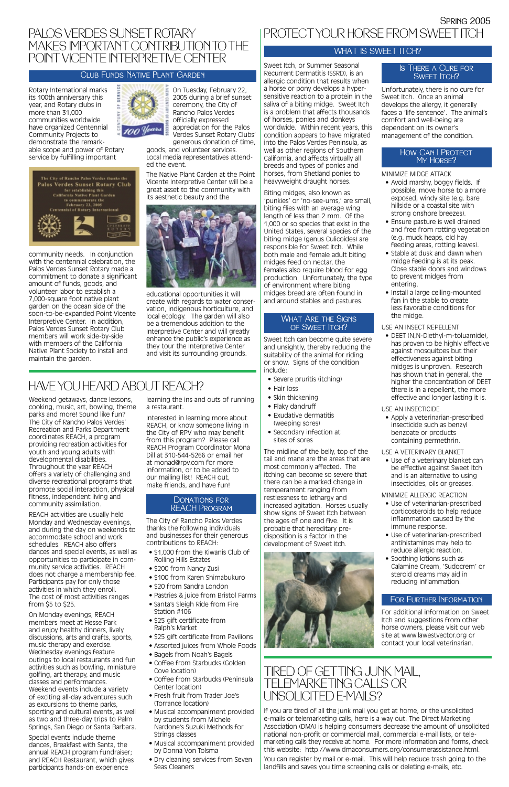Rotary International marks its 100th anniversary this year, and Rotary clubs in more than 31,000 communities worldwide have organized Centennial Community Projects to demonstrate the remarkable scope and power of Rotary service by fulfilling important



community needs. In conjunction with the centennial celebration, the Palos Verdes Sunset Rotary made a commitment to donate a significant amount of funds, goods, and volunteer labor to establish a 7,000-square foot native plant garden on the ocean side of the soon-to-be-expanded Point Vicente Interpretive Center. In addition, Palos Verdes Sunset Rotary Club members will work side-by-side with members of the California Native Plant Society to install and maintain the garden.



On Tuesday, February 22, 2005 during a brief sunset ceremony, the City of Rancho Palos Verdes officially expressed appreciation for the Palos Verdes Sunset Rotary Clubs' generous donation of time,

goods, and volunteer services. Local media representatives attended the event.

The Native Plant Garden at the Point Vicente Interpretive Center will be a great asset to the community with its aesthetic beauty and the



educational opportunities it will create with regards to water conservation, indigenous horticulture, and local ecology. The garden will also be a tremendous addition to the Interpretive Center and will greatly enhance the public's experience as they tour the Interpretive Center and visit its surrounding grounds.

Sweet Itch can become quite severe and unsightly, thereby reducing the suitability of the animal for riding or show. Signs of the condition include:

If you are tired of all the junk mail you get at home, or the unsolicited e-mails or telemarketing calls, here is a way out. The Direct Marketing Association (DMA) is helping consumers decrease the amount of unsolicited national non-profit or commercial mail, commercial e-mail lists, or telemarketing calls they receive at home. For more information and forms, check this website: http://www.dmaconsumers.org/consumerassistance.html. You can register by mail or e-mail. This will help reduce trash going to the landfills and saves you time screening calls or deleting e-mails, etc.

- Severe pruritis (itching)
- Hair loss
- Skin thickening
- Flaky dandruff
- Exudative dermatitis
- (weeping sores) • Secondary infection at
- sites of sores

# TIRED OF GETTING JUNK MAIL, TELEMARKETING CALLS OR UNSOLICITED E-MAILS?

## PALOS VERDES SUNSET ROTARY MAKES IMPORTANT CONTRIBUTION TO THE POINT VICENTE INTERPRETIVE CENTER

## Club Funds Native Plant Garden

- Avoid marshy, boggy fields. If possible, move horse to a more exposed, windy site (e.g. bare hillside or a coastal site with strong onshore breezes).
- Ensure pasture is well drained and free from rotting vegetation (e.g. muck heaps, old hay feeding areas, rotting leaves).
- Stable at dusk and dawn when midge feeding is at its peak. Close stable doors and windows to prevent midges from entering.
- Install a large ceiling-mounted fan in the stable to create less favorable conditions for the midge.

Sweet Itch, or Summer Seasonal Recurrent Dermatitis (SSRD), is an allergic condition that results when a horse or pony develops a hypersensitive reaction to a protein in the saliva of a biting midge. Sweet Itch is a problem that affects thousands of horses, ponies and donkeys worldwide. Within recent years, this condition appears to have migrated into the Palos Verdes Peninsula, as well as other regions of Southern California, and affects virtually all breeds and types of ponies and horses, from Shetland ponies to heavyweight draught horses.

#### WHAT ARE THE SIGNS of Sweet Itch?

### Is There a Cure for SWEET **ITCH?**

Biting midges, also known as 'punkies' or 'no-see-ums,' are small, biting flies with an average wing length of less than 2 mm. Of the 1,000 or so species that exist in the United States, several species of the biting midge (genus Culicoides) are responsible for Sweet Itch. While both male and female adult biting midges feed on nectar, the females also require blood for egg production. Unfortunately, the type of environment where biting midges breed are often found in and around stables and pastures.

The midline of the belly, top of the tail and mane are the areas that are most commonly affected. The itching can become so severe that there can be a marked change in temperament ranging from restlessness to lethargy and increased agitation. Horses usually show signs of Sweet Itch between the ages of one and five. It is probable that hereditary predisposition is a factor in the development of Sweet Itch.



Unfortunately, there is no cure for Sweet Itch. Once an animal develops the allergy, it generally faces a 'life sentence'. The animal's comfort and well-being are dependent on its owner's management of the condition.

### How Can I Protect MY HORSE?

MINIMIZE MIDGE ATTACK

#### DONATIONS FOR REACH Program

### USE AN INSECT REPELLENT

• DEET (N,N-Diethyl-m-toluamide), has proven to be highly effective against mosquitoes but their effectiveness against biting midges is unproven. Research has shown that in general, the higher the concentration of DEET there is in a repellent, the more effective and longer lasting it is.

### USE AN INSECTICIDE

• Apply a veterinarian-prescribed insecticide such as benzyl benzoate or products containing permethrin.

#### USE A VETERINARY BLANKET

• Use of a veterinary blanket can be effective against Sweet Itch and is an alternative to using insecticides, oils or greases.

MINIMIZE ALLERGIC REACTION

- Use of veterinarian-prescribed corticosteroids to help reduce inflammation caused by the immune response.
- Use of veterinarian-prescribed antihistamines may help to reduce allergic reaction.
- Soothing lotions such as Calamine Cream, 'Sudocrem' or steroid creams may aid in

#### reducing inflammation.

## FOR FURTHER INFORMATION

For additional information on Sweet Itch and suggestions from other horse owners, please visit our web site at www.lawestvector.org or contact your local veterinarian.

# PROTECTYOUR HORSE FROM SWEET ITCH

## WHAT IS SWEET ITCH?

Weekend getaways, dance lessons, cooking, music, art, bowling, theme parks and more! Sound like fun? The City of Rancho Palos Verdes' Recreation and Parks Department coordinates REACH, a program providing recreation activities for youth and young adults with developmental disabilities. Throughout the year REACH offers a variety of challenging and diverse recreational programs that promote social interaction, physical fitness, independent living and community assimilation.

REACH activities are usually held Monday and Wednesday evenings, and during the day on weekends to accommodate school and work schedules. REACH also offers dances and special events, as well as opportunities to participate in community service activities. REACH does not charge a membership fee. Participants pay for only those activities in which they enroll. The cost of most activities ranges from \$5 to \$25. On Monday evenings, REACH members meet at Hesse Park and enjoy healthy dinners, lively discussions, arts and crafts, sports, music therapy and exercise. Wednesday evenings feature outings to local restaurants and fun activities such as bowling, miniature golfing, art therapy, and music classes and performances. Weekend events include a variety of exciting all-day adventures such as excursions to theme parks, sporting and cultural events, as well as two and three-day trips to Palm Springs, San Diego or Santa Barbara.

Special events include theme dances, Breakfast with Santa, the annual REACH program fundraiser; and REACH Restaurant, which gives participants hands-on experience

learning the ins and outs of running a restaurant.

Interested in learning more about REACH, or know someone living in the City of RPV who may benefit from this program? Please call REACH Program Coordinator Mona Dill at 310-544-5266 or email her at monad@rpv.com for more information, or to be added to our mailing list! REACH out, make friends, and have fun!

The City of Rancho Palos Verdes thanks the following individuals and businesses for their generous contributions to REACH:

- \$1,000 from the Kiwanis Club of Rolling Hills Estates
- \$200 from Nancy Zusi
- \$100 from Karen Shimabukuro
- 
- \$20 from Sandra London
- Pastries & juice from Bristol Farms
- Santa's Sleigh Ride from Fire Station #106
- \$25 gift certificate from Ralph's Market
- \$25 gift certificate from Pavilions
- Assorted juices from Whole Foods
- Bagels from Noah's Bagels
- Coffee from Starbucks (Golden Cove location)
- Coffee from Starbucks (Peninsula Center location)
- Fresh fruit from Trader Joe's (Torrance location)
- Musical accompaniment provided by students from Michele Nardone's Suzuki Methods for Strings classes
- Musical accompaniment provided by Donna Von Tolsma
- Dry cleaning services from Seven Seas Cleaners

## HAVE YOU HEARD ABOUT REACH?